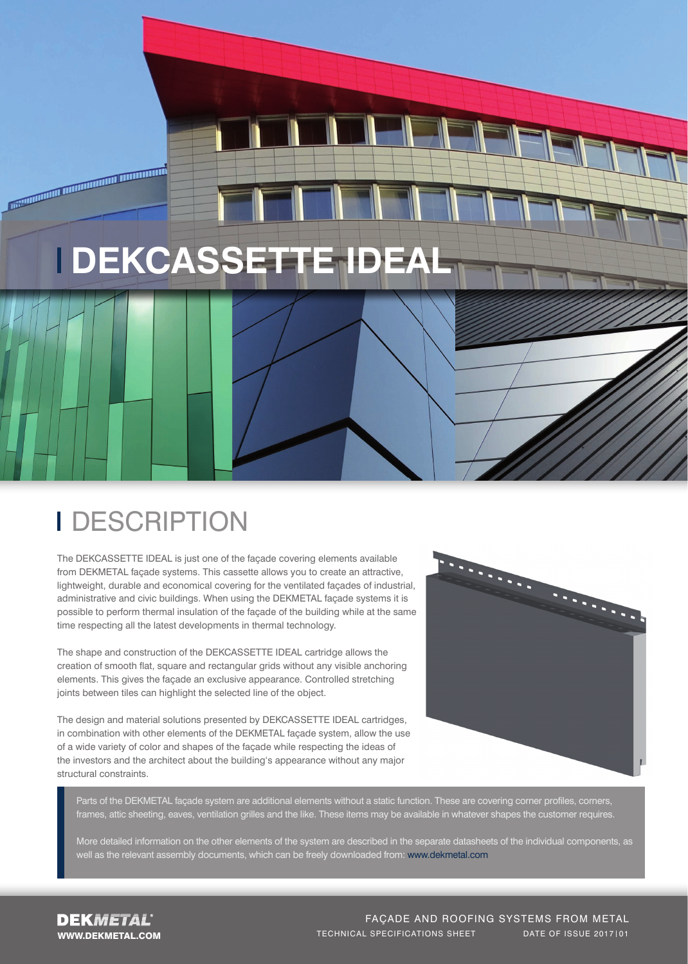

## **I** DESCRIPTION

<u>The Community of the Community of the Community of the Community of the Community of the Community of the Community of the Community of the Community of the Community of the Community of the Community of the Community of </u>

The DEKCASSETTE IDEAL is just one of the façade covering elements available from DEKMETAL façade systems. This cassette allows you to create an attractive, lightweight, durable and economical covering for the ventilated façades of industrial, administrative and civic buildings. When using the DEKMETAL façade systems it is possible to perform thermal insulation of the façade of the building while at the same time respecting all the latest developments in thermal technology.

The shape and construction of the DEKCASSETTE IDEAL cartridge allows the creation of smooth flat, square and rectangular grids without any visible anchoring elements. This gives the façade an exclusive appearance. Controlled stretching joints between tiles can highlight the selected line of the object.

The design and material solutions presented by DEKCASSETTE IDEAL cartridges, in combination with other elements of the DEKMETAL façade system, allow the use of a wide variety of color and shapes of the façade while respecting the ideas of the investors and the architect about the building's appearance without any major structural constraints.



Parts of the DEKMETAL facade system are additional elements without a static function. These are covering corner profiles, corners, frames, attic sheeting, eaves, ventilation grilles and the like. These items may be available in whatever shapes the customer requires.

More detailed information on the other elements of the system are described in the separate datasheets of the individual components, as well as the relevant assembly documents, which can be freely downloaded from: www.dekmetal.com

#### FAÇADE AND ROOFING SYSTEMS FROM METAL TECHNICAL SPECIFICATIONS SHEET DATE OF ISSUE 2017|01